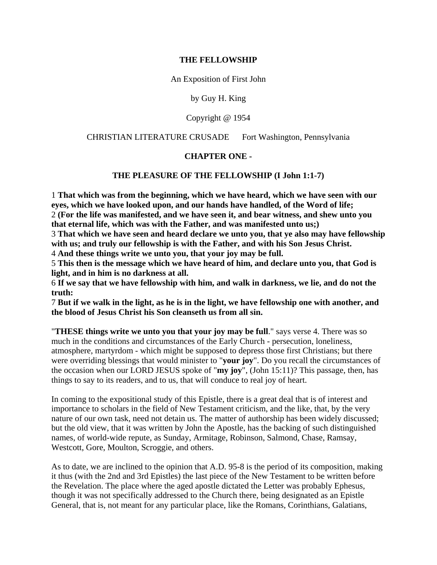#### **THE FELLOWSHIP**

An Exposition of First John

by Guy H. King

Copyright @ 1954

#### CHRISTIAN LITERATURE CRUSADE Fort Washington, Pennsylvania

#### **CHAPTER ONE -**

### **THE PLEASURE OF THE FELLOWSHIP (I John 1:1-7)**

1 **That which was from the beginning, which we have heard, which we have seen with our eyes, which we have looked upon, and our hands have handled, of the Word of life;** 2 **(For the life was manifested, and we have seen it, and bear witness, and shew unto you that eternal life, which was with the Father, and was manifested unto us;)**

3 **That which we have seen and heard declare we unto you, that ye also may have fellowship with us; and truly our fellowship is with the Father, and with his Son Jesus Christ.**

4 **And these things write we unto you, that your joy may be full.**

5 **This then is the message which we have heard of him, and declare unto you, that God is light, and in him is no darkness at all.**

6 **If we say that we have fellowship with him, and walk in darkness, we lie, and do not the truth:**

7 **But if we walk in the light, as he is in the light, we have fellowship one with another, and the blood of Jesus Christ his Son cleanseth us from all sin.**

"**THESE things write we unto you that your joy may be full**." says verse 4. There was so much in the conditions and circumstances of the Early Church - persecution, loneliness, atmosphere, martyrdom - which might be supposed to depress those first Christians; but there were overriding blessings that would minister to "**your joy**". Do you recall the circumstances of the occasion when our LORD JESUS spoke of "**my joy**", (John 15:11)? This passage, then, has things to say to its readers, and to us, that will conduce to real joy of heart.

In coming to the expositional study of this Epistle, there is a great deal that is of interest and importance to scholars in the field of New Testament criticism, and the like, that, by the very nature of our own task, need not detain us. The matter of authorship has been widely discussed; but the old view, that it was written by John the Apostle, has the backing of such distinguished names, of world-wide repute, as Sunday, Armitage, Robinson, Salmond, Chase, Ramsay, Westcott, Gore, Moulton, Scroggie, and others.

As to date, we are inclined to the opinion that A.D. 95-8 is the period of its composition, making it thus (with the 2nd and 3rd Epistles) the last piece of the New Testament to be written before the Revelation. The place where the aged apostle dictated the Letter was probably Ephesus, though it was not specifically addressed to the Church there, being designated as an Epistle General, that is, not meant for any particular place, like the Romans, Corinthians, Galatians,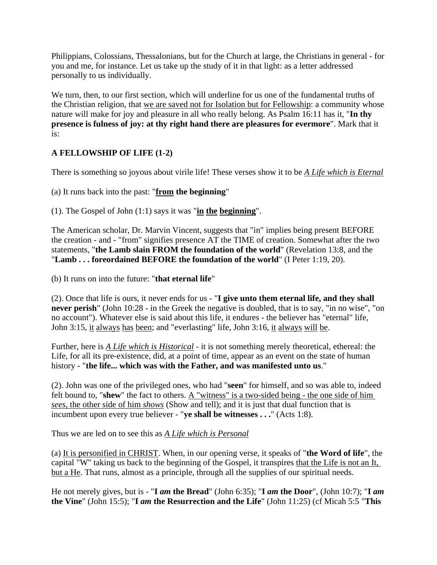Philippians, Colossians, Thessalonians, but for the Church at large, the Christians in general - for you and me, for instance. Let us take up the study of it in that light: as a letter addressed personally to us individually.

We turn, then, to our first section, which will underline for us one of the fundamental truths of the Christian religion, that we are saved not for Isolation but for Fellowship: a community whose nature will make for joy and pleasure in all who really belong. As Psalm 16:11 has it, "**In thy presence is fulness of joy: at thy right hand there are pleasures for evermore**". Mark that it is:

# **A FELLOWSHIP OF LIFE (1-2)**

There is something so joyous about virile life! These verses show it to be *A Life which is Eternal*

(a) It runs back into the past: "**from the beginning**"

(1). The Gospel of John (1:1) says it was "**in the beginning**".

The American scholar, Dr. Marvin Vincent, suggests that "in" implies being present BEFORE the creation - and - "from" signifies presence AT the TIME of creation. Somewhat after the two statements, "**the Lamb slain FROM the foundation of the world**" (Revelation 13:8, and the "**Lamb . . . foreordained BEFORE the foundation of the world**" (I Peter 1:19, 20).

(b) It runs on into the future: "**that eternal life**"

(2). Once that life is ours, it never ends for us - "**I give unto them eternal life, and they shall never perish**" (John 10:28 - in the Greek the negative is doubled, that is to say, "in no wise", "on no account"). Whatever else is said about this life, it endures - the believer has "eternal" life, John 3:15, it always has been; and "everlasting" life, John 3:16, it always will be.

Further, here is *A Life which is Historical* - it is not something merely theoretical, ethereal: the Life, for all its pre-existence, did, at a point of time, appear as an event on the state of human history - "**the life... which was with the Father, and was manifested unto us**."

(2). John was one of the privileged ones, who had "**seen**" for himself, and so was able to, indeed felt bound to, "**shew**" the fact to others. A "witness" is a two-sided being - the one side of him *sees*, the other side of him *shows* (Show and tell); and it is just that dual function that is incumbent upon every true believer - "**ye shall be witnesses . . .**" (Acts 1:8).

Thus we are led on to see this as *A Life which is Personal*

(a) It is personified in CHRIST. When, in our opening verse, it speaks of "**the Word of life**", the capital "W" taking us back to the beginning of the Gospel, it transpires that the Life is not an It, but a He. That runs, almost as a principle, through all the supplies of our spiritual needs.

He not merely gives, but is - "**I** *am* **the Bread**" (John 6:35); "**I** *am* **the Door**", (John 10:7); "**I** *am* **the Vine**" (John 15:5); "**I** *am* **the Resurrection and the Life**" (John 11:25) (cf Micah 5:5 "**This**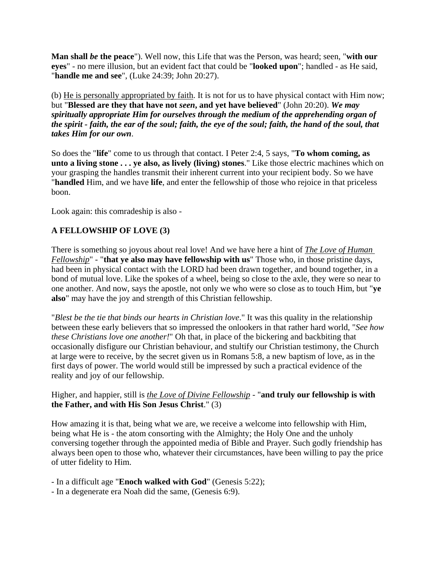**Man shall** *be* **the peace**"). Well now, this Life that was the Person, was heard; seen, "**with our eyes**" - no mere illusion, but an evident fact that could be "**looked upon**"; handled - as He said, "**handle me and see**", (Luke 24:39; John 20:27).

(b) He is personally appropriated by faith. It is not for us to have physical contact with Him now; but "**Blessed are they that have not** *seen***, and yet have believed**" (John 20:20). *We may spiritually appropriate Him for ourselves through the medium of the apprehending organ of the spirit - faith, the ear of the soul; faith, the eye of the soul; faith, the hand of the soul, that takes Him for our own*.

So does the "**life**" come to us through that contact. I Peter 2:4, 5 says, "**To whom coming, as unto a living stone . . . ye also, as lively (living) stones**." Like those electric machines which on your grasping the handles transmit their inherent current into your recipient body. So we have "**handled** Him, and we have **life**, and enter the fellowship of those who rejoice in that priceless boon.

Look again: this comradeship is also -

# **A FELLOWSHIP OF LOVE (3)**

There is something so joyous about real love! And we have here a hint of *The Love of Human Fellowship*" - "**that ye also may have fellowship with us**" Those who, in those pristine days, had been in physical contact with the LORD had been drawn together, and bound together, in a bond of mutual love. Like the spokes of a wheel, being so close to the axle, they were so near to one another. And now, says the apostle, not only we who were so close as to touch Him, but "**ye also**" may have the joy and strength of this Christian fellowship.

"*Blest be the tie that binds our hearts in Christian love*." It was this quality in the relationship between these early believers that so impressed the onlookers in that rather hard world, "*See how these Christians love one another!*" Oh that, in place of the bickering and backbiting that occasionally disfigure our Christian behaviour, and stultify our Christian testimony, the Church at large were to receive, by the secret given us in Romans 5:8, a new baptism of love, as in the first days of power. The world would still be impressed by such a practical evidence of the reality and joy of our fellowship.

## Higher, and happier, still is *the Love of Divine Fellowship* - "**and truly our fellowship is with the Father, and with His Son Jesus Christ**." (3)

How amazing it is that, being what we are, we receive a welcome into fellowship with Him, being what He is - the atom consorting with the Almighty; the Holy One and the unholy conversing together through the appointed media of Bible and Prayer. Such godly friendship has always been open to those who, whatever their circumstances, have been willing to pay the price of utter fidelity to Him.

- In a difficult age "**Enoch walked with God**" (Genesis 5:22);

- In a degenerate era Noah did the same, (Genesis 6:9).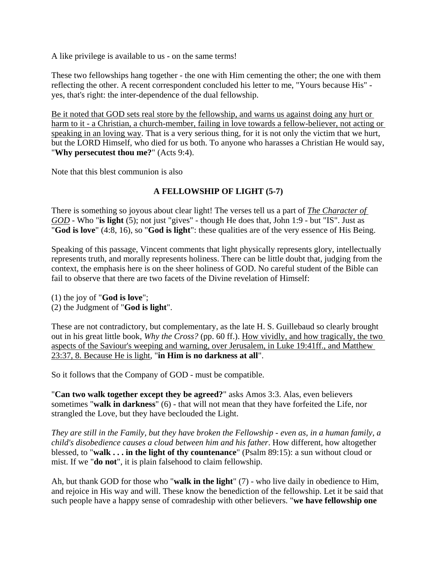A like privilege is available to us - on the same terms!

These two fellowships hang together - the one with Him cementing the other; the one with them reflecting the other. A recent correspondent concluded his letter to me, "Yours because His" yes, that's right: the inter-dependence of the dual fellowship.

Be it noted that GOD sets real store by the fellowship, and warns us against doing any hurt or harm to it - a Christian, a church-member, failing in love towards a fellow-believer, not acting or speaking in an loving way. That is a very serious thing, for it is not only the victim that we hurt, but the LORD Himself, who died for us both. To anyone who harasses a Christian He would say, "**Why persecutest thou me?**" (Acts 9:4).

Note that this blest communion is also

# **A FELLOWSHIP OF LIGHT (5-7)**

There is something so joyous about clear light! The verses tell us a part of *The Character of GOD* - Who "**is light** (5); not just "gives" - though He does that, John 1:9 - but "IS". Just as "**God is love**" (4:8, 16), so "**God is light**": these qualities are of the very essence of His Being.

Speaking of this passage, Vincent comments that light physically represents glory, intellectually represents truth, and morally represents holiness. There can be little doubt that, judging from the context, the emphasis here is on the sheer holiness of GOD. No careful student of the Bible can fail to observe that there are two facets of the Divine revelation of Himself:

- (1) the joy of "**God is love**";
- (2) the Judgment of "**God is light**".

These are not contradictory, but complementary, as the late H. S. Guillebaud so clearly brought out in his great little book, *Why the Cross?* (pp. 60 ff.). How vividly, and how tragically, the two aspects of the Saviour's weeping and warning, over Jerusalem, in Luke 19:41ff., and Matthew 23:37, 8. Because He is light, "**in Him is no darkness at all**".

So it follows that the Company of GOD - must be compatible.

"**Can two walk together except they be agreed?**" asks Amos 3:3. Alas, even believers sometimes "**walk in darkness**" (6) - that will not mean that they have forfeited the Life, nor strangled the Love, but they have beclouded the Light.

*They are still in the Family, but they have broken the Fellowship - even as, in a human family, a child's disobedience causes a cloud between him and his father*. How different, how altogether blessed, to "**walk . . . in the light of thy countenance**" (Psalm 89:15): a sun without cloud or mist. If we "**do not**", it is plain falsehood to claim fellowship.

Ah, but thank GOD for those who "**walk in the light**" (7) - who live daily in obedience to Him, and rejoice in His way and will. These know the benediction of the fellowship. Let it be said that such people have a happy sense of comradeship with other believers. "**we have fellowship one**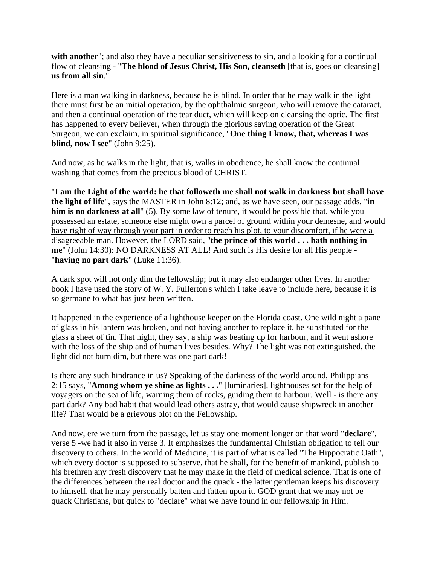**with another**"; and also they have a peculiar sensitiveness to sin, and a looking for a continual flow of cleansing - "**The blood of Jesus Christ, His Son, cleanseth** [that is, goes on cleansing] **us from all sin**."

Here is a man walking in darkness, because he is blind. In order that he may walk in the light there must first be an initial operation, by the ophthalmic surgeon, who will remove the cataract, and then a continual operation of the tear duct, which will keep on cleansing the optic. The first has happened to every believer, when through the glorious saving operation of the Great Surgeon, we can exclaim, in spiritual significance, "**One thing I know, that, whereas I was blind, now I see**" (John 9:25).

And now, as he walks in the light, that is, walks in obedience, he shall know the continual washing that comes from the precious blood of CHRIST.

"**I am the Light of the world: he that followeth me shall not walk in darkness but shall have the light of life**", says the MASTER in John 8:12; and, as we have seen, our passage adds, "**in him is no darkness at all**" (5). By some law of tenure, it would be possible that, while you possessed an estate, someone else might own a parcel of ground within your demesne, and would have right of way through your part in order to reach his plot, to your discomfort, if he were a disagreeable man. However, the LORD said, "**the prince of this world . . . hath nothing in me**" (John 14:30): NO DARKNESS AT ALL! And such is His desire for all His people - "**having no part dark**" (Luke 11:36).

A dark spot will not only dim the fellowship; but it may also endanger other lives. In another book I have used the story of W. Y. Fullerton's which I take leave to include here, because it is so germane to what has just been written.

It happened in the experience of a lighthouse keeper on the Florida coast. One wild night a pane of glass in his lantern was broken, and not having another to replace it, he substituted for the glass a sheet of tin. That night, they say, a ship was beating up for harbour, and it went ashore with the loss of the ship and of human lives besides. Why? The light was not extinguished, the light did not burn dim, but there was one part dark!

Is there any such hindrance in us? Speaking of the darkness of the world around, Philippians 2:15 says, "**Among whom ye shine as lights . . .**" [luminaries], lighthouses set for the help of voyagers on the sea of life, warning them of rocks, guiding them to harbour. Well - is there any part dark? Any bad habit that would lead others astray, that would cause shipwreck in another life? That would be a grievous blot on the Fellowship.

And now, ere we turn from the passage, let us stay one moment longer on that word "**declare**", verse 5 -we had it also in verse 3. It emphasizes the fundamental Christian obligation to tell our discovery to others. In the world of Medicine, it is part of what is called "The Hippocratic Oath", which every doctor is supposed to subserve, that he shall, for the benefit of mankind, publish to his brethren any fresh discovery that he may make in the field of medical science. That is one of the differences between the real doctor and the quack - the latter gentleman keeps his discovery to himself, that he may personally batten and fatten upon it. GOD grant that we may not be quack Christians, but quick to "declare" what we have found in our fellowship in Him.